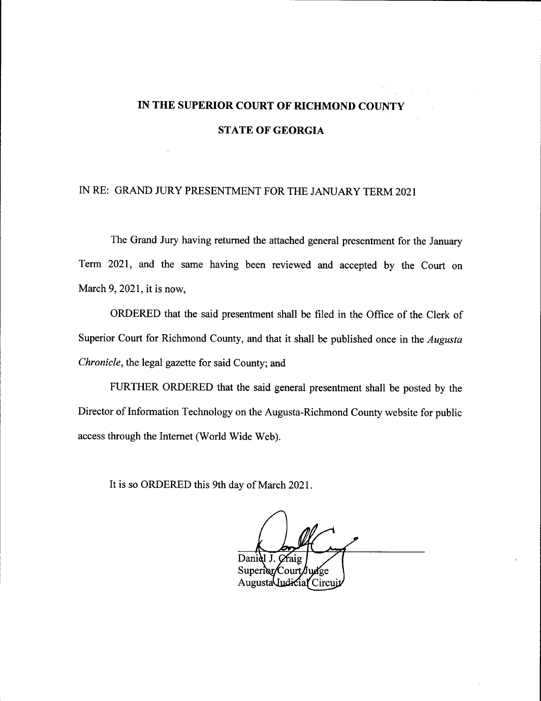## IN THE SUPERIOR COURT OF RICHMOND COUNTY STATE OF GEORGIA

## IN RE: GRAND JURY PRESENTMENT FOR THE JANUARY TERM 2021

The Grand Jury having returned the attached general presentment for the January Term 2021, and the same having been reviewed and accepted by the Court on March 9,2021, it is now,

ORDERED that the said presentment shall be filed in the Office of the Clerk of Superior Court for Richmond County, and that it shall be published once in the Augusta Chronicle, the legal gazette for said County; and

FURTHER ORDERED that the said general presentment shall be posted by the Director of Information Technology on the Augusta-Richmond County website for public access through the Internet (World Wide Web).

It is so ORDERED this 9th day of March 2021.

Daniel J. Craig Superior/Court/Judge AugustaUudicial Circu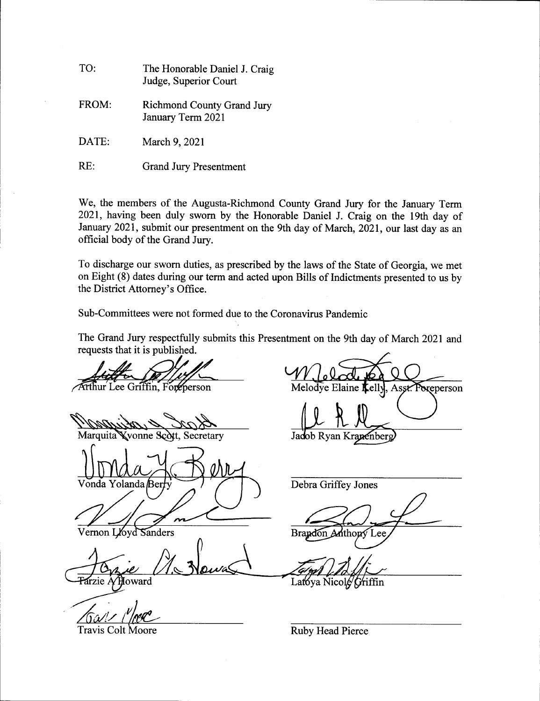| TO:   | The Honorable Daniel J. Craig<br>Judge, Superior Court |
|-------|--------------------------------------------------------|
| FROM: | <b>Richmond County Grand Jury</b><br>January Term 2021 |
| DATE: | March 9, 2021                                          |

RE: Grand Jury Presentment

We, the members of the Augusta-Richmond County Grand Jury for the January Term 2021, having been duly swom by the Honorable Daniel J. Craig on the 19th day of January 2021, submit our presentment on the 9th day of March, 2021, our last day as an official body of the Grand Jury.

To discharge our sworn duties, as prescribed by the laws of the State of Georgia, we met on Eight (8) dates during our term and acted upon Bills of Indictments presented to us by the District Attorney's Office.

Sub-Committees were not formed due to the Coronavirus Pandemic

The Grand Jury respectfully submits this Presentment on the 9th day of March 2021 and requests that it is published.

Arthur Lee Griffin, Foreperson

Marquita **Kvonne Scott, Secretary** 

Vonda Yolanda  $\beta$ erry  $\left(\sqrt{\frac{1}{2}}\right)$  Debra Griffey Jones

loyd Sanders 'ernon I

loward<sup>1</sup> frzie /

Foreperson Melodve Elaine

Jadob Ryan Kranenberg

Brandon Anthony Lee

Latoya Nicole Griffin

Travis Colt Moore **New Strategier Collection** Ruby Head Pierce